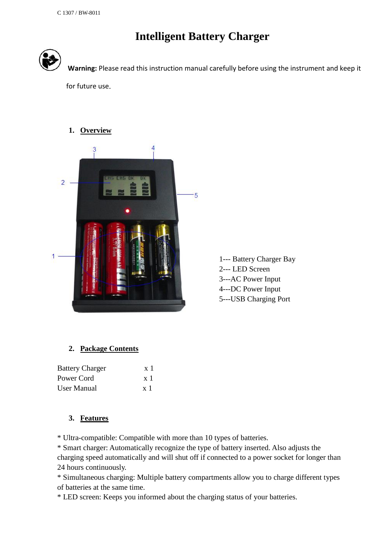# **Intelligent Battery Charger**



**Warning:** Please read this instruction manual carefully before using the instrument and keep it

for future use.



1--- Battery Charger Bay 2--- LED Screen 3---AC Power Input 4---DC Power Input 5---USB Charging Port

# **2. Package Contents**

| <b>Battery Charger</b> | $\mathbf{x}$ 1 |
|------------------------|----------------|
| Power Cord             | $\mathbf{x}$ 1 |
| User Manual            | $\mathbf{x}$ ] |

# **3. Features**

\* Ultra-compatible: Compatible with more than 10 types of batteries.

\* Smart charger: Automatically recognize the type of battery inserted. Also adjusts the charging speed automatically and will shut off if connected to a power socket for longer than 24 hours continuously.

\* Simultaneous charging: Multiple battery compartments allow you to charge different types of batteries at the same time.

\* LED screen: Keeps you informed about the charging status of your batteries.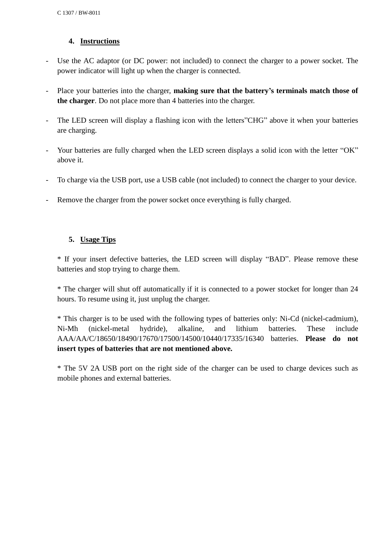## **4. Instructions**

- Use the AC adaptor (or DC power: not included) to connect the charger to a power socket. The power indicator will light up when the charger is connected.
- Place your batteries into the charger, **making sure that the battery's terminals match those of the charger**. Do not place more than 4 batteries into the charger.
- The LED screen will display a flashing icon with the letters"CHG" above it when your batteries are charging.
- Your batteries are fully charged when the LED screen displays a solid icon with the letter "OK" above it.
- To charge via the USB port, use a USB cable (not included) to connect the charger to your device.
- Remove the charger from the power socket once everything is fully charged.

## **5. Usage Tips**

\* If your insert defective batteries, the LED screen will display "BAD". Please remove these batteries and stop trying to charge them.

\* The charger will shut off automatically if it is connected to a power stocket for longer than 24 hours. To resume using it, just unplug the charger.

\* This charger is to be used with the following types of batteries only: Ni-Cd (nickel-cadmium), Ni-Mh (nickel-metal hydride), alkaline, and lithium batteries. These include AAA/AA/C/18650/18490/17670/17500/14500/10440/17335/16340 batteries. **Please do not insert types of batteries that are not mentioned above.**

\* The 5V 2A USB port on the right side of the charger can be used to charge devices such as mobile phones and external batteries.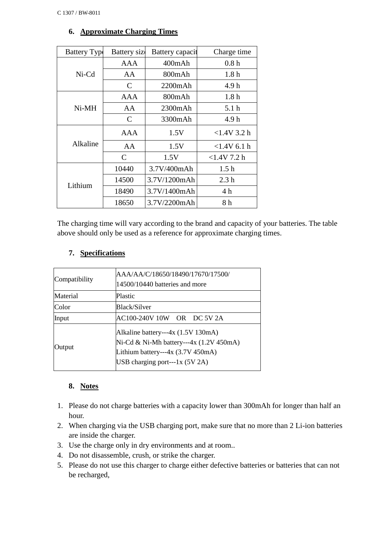| <b>Battery Type</b> | Battery size  | Battery capacit | Charge time      |
|---------------------|---------------|-----------------|------------------|
|                     | AAA           | $400$ m $Ah$    | 0.8h             |
| $Ni-Cd$             | AA            | 800mAh          | 1.8 <sub>h</sub> |
|                     | C             | $2200$ m $Ah$   | 4.9 h            |
|                     | <b>AAA</b>    | 800mAh          | 1.8h             |
| $Ni-MH$             | AA            | $2300$ m $Ah$   | 5.1 <sub>h</sub> |
|                     | C             | 3300mAh         | 4.9 h            |
|                     | AAA           | 1.5V            | $<1.4V$ 3.2 h    |
| Alkaline            | AA            | 1.5V            | $<$ 1.4V 6.1 h   |
|                     | $\mathcal{C}$ | 1.5V            | $<$ 1.4V 7.2 h   |
|                     | 10440         | 3.7V/400mAh     | 1.5 <sub>h</sub> |
| Lithium             | 14500         | 3.7V/1200mAh    | 2.3 <sub>h</sub> |
|                     | 18490         | 3.7V/1400mAh    | 4h               |
|                     | 18650         | 3.7V/2200mAh    | 8 h              |

## **6. Approximate Charging Times**

The charging time will vary according to the brand and capacity of your batteries. The table above should only be used as a reference for approximate charging times.

## **7. Specifications**

| Compatibility | AAA/AA/C/18650/18490/17670/17500/<br>14500/10440 batteries and more                                                                                     |
|---------------|---------------------------------------------------------------------------------------------------------------------------------------------------------|
| Material      | Plastic                                                                                                                                                 |
| Color         | Black/Silver                                                                                                                                            |
| Input         | AC100-240V 10W OR DC 5V 2A                                                                                                                              |
| Output        | Alkaline battery---4x (1.5V 130mA)<br>Ni-Cd & Ni-Mh battery---4x (1.2V 450mA)<br>Lithium battery---4x (3.7V 450mA)<br>USB charging port---1 $x$ (5V 2A) |

#### **8. Notes**

- 1. Please do not charge batteries with a capacity lower than 300mAh for longer than half an hour.
- 2. When charging via the USB charging port, make sure that no more than 2 Li-ion batteries are inside the charger.
- 3. Use the charge only in dry environments and at room..
- 4. Do not disassemble, crush, or strike the charger.
- 5. Please do not use this charger to charge either defective batteries or batteries that can not be recharged,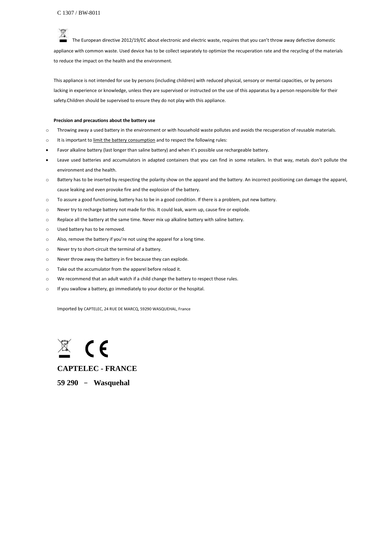The European directive 2012/19/EC about electronic and electric waste, requires that you can't throw away defective domestic appliance with common waste. Used device has to be collect separately to optimize the recuperation rate and the recycling of the materials to reduce the impact on the health and the environment.

This appliance is not intended for use by persons (including children) with reduced physical, sensory or mental capacities, or by persons lacking in experience or knowledge, unless they are supervised or instructed on the use of this apparatus by a person responsible for their safety.Children should be supervised to ensure they do not play with this appliance.

#### **Precision and precautions about the battery use**

- o Throwing away a used battery in the environment or with household waste pollutes and avoids the recuperation of reusable materials.
- o It is important to limit the battery consumption and to respect the following rules:
- Favor alkaline battery (last longer than saline battery) and when it's possible use rechargeable battery.
- Leave used batteries and accumulators in adapted containers that you can find in some retailers. In that way, metals don't pollute the environment and the health.
- o Battery has to be inserted by respecting the polarity show on the apparel and the battery. An incorrect positioning can damage the apparel, cause leaking and even provoke fire and the explosion of the battery.
- o To assure a good functioning, battery has to be in a good condition. If there is a problem, put new battery.
- o Never try to recharge battery not made for this. It could leak, warm up, cause fire or explode.
- o Replace all the battery at the same time. Never mix up alkaline battery with saline battery.
- o Used battery has to be removed.
- o Also, remove the battery if you're not using the apparel for a long time.
- o Never try to short-circuit the terminal of a battery.
- o Never throw away the battery in fire because they can explode.
- o Take out the accumulator from the apparel before reload it.
- o We recommend that an adult watch if a child change the battery to respect those rules.
- o If you swallow a battery, go immediately to your doctor or the hospital.

Imported by CAPTELEC, 24 RUE DE MARCQ, 59290 WASQUEHAL, France

**CAPTELEC - FRANCE 59 290** – **Wasquehal**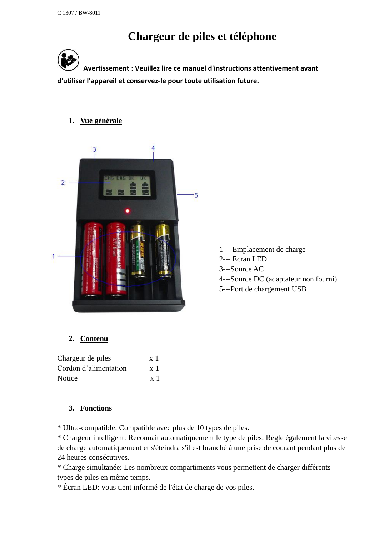# **Chargeur de piles et téléphone**

**Avertissement : Veuillez lire ce manuel d'instructions attentivement avant d'utiliser l'appareil et conservez-le pour toute utilisation future.** 

#### **1. Vue générale**



1--- Emplacement de charge 2--- Ecran LED 3---Source AC 4---Source DC (adaptateur non fourni) 5---Port de chargement USB

# **2. Contenu**

| Chargeur de piles     | $\mathbf{x}$ ] |
|-----------------------|----------------|
| Cordon d'alimentation | $\mathbf{x}$ ] |
| Notice                | x <sub>1</sub> |

# **3. Fonctions**

\* Ultra-compatible: Compatible avec plus de 10 types de piles.

\* Chargeur intelligent: Reconnait automatiquement le type de piles. Règle également la vitesse de charge automatiquement et s'éteindra s'il est branché à une prise de courant pendant plus de 24 heures consécutives.

\* Charge simultanée: Les nombreux compartiments vous permettent de charger différents types de piles en même temps.

\* Écran LED: vous tient informé de l'état de charge de vos piles.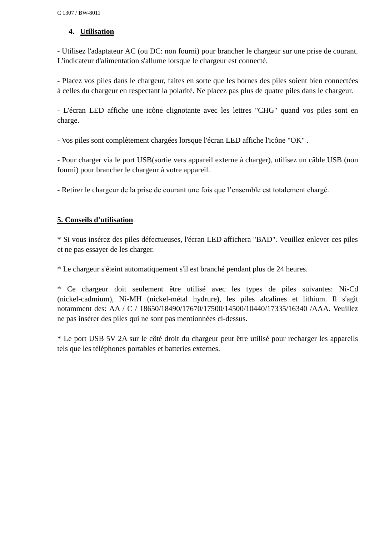## **4. Utilisation**

- Utilisez l'adaptateur AC (ou DC: non fourni) pour brancher le chargeur sur une prise de courant. L'indicateur d'alimentation s'allume lorsque le chargeur est connecté.

- Placez vos piles dans le chargeur, faites en sorte que les bornes des piles soient bien connectées à celles du chargeur en respectant la polarité. Ne placez pas plus de quatre piles dans le chargeur.

- L'écran LED affiche une icône clignotante avec les lettres "CHG" quand vos piles sont en charge.

- Vos piles sont complètement chargées lorsque l'écran LED affiche l'icône "OK" .

- Pour charger via le port USB(sortie vers appareil externe à charger), utilisez un câble USB (non fourni) pour brancher le chargeur à votre appareil.

- Retirer le chargeur de la prise de courant une fois que l'ensemble est totalement chargé.

## **5. Conseils d'utilisation**

\* Si vous insérez des piles défectueuses, l'écran LED affichera "BAD". Veuillez enlever ces piles et ne pas essayer de les charger.

\* Le chargeur s'éteint automatiquement s'il est branché pendant plus de 24 heures.

\* Ce chargeur doit seulement être utilisé avec les types de piles suivantes: Ni-Cd (nickel-cadmium), Ni-MH (nickel-métal hydrure), les piles alcalines et lithium. Il s'agit notamment des: AA / C / 18650/18490/17670/17500/14500/10440/17335/16340 /AAA. Veuillez ne pas insérer des piles qui ne sont pas mentionnées ci-dessus.

\* Le port USB 5V 2A sur le côté droit du chargeur peut être utilisé pour recharger les appareils tels que les téléphones portables et batteries externes.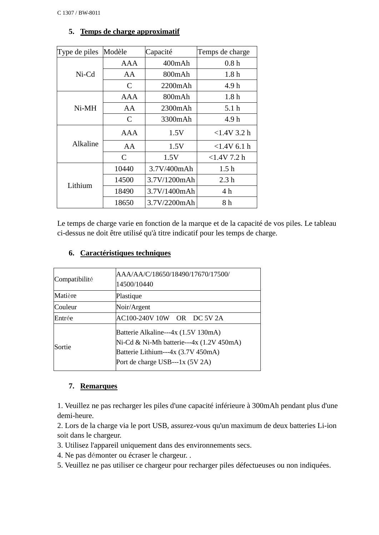|  | 5. Temps de charge approximatif |
|--|---------------------------------|
|  |                                 |

| Type de piles | Modèle                      | Capacité     | Temps de charge  |
|---------------|-----------------------------|--------------|------------------|
|               | AAA                         | 400mAh       | 0.8h             |
| $Ni-Cd$       | AA                          | 800mAh       | 1.8 <sub>h</sub> |
|               | C                           | 2200mAh      | 4.9 h            |
|               | AAA                         | 800mAh       | 1.8 <sub>h</sub> |
| $Ni-MH$       | AA                          | 2300mAh      | 5.1 <sub>h</sub> |
|               | $\mathsf{C}$                | 3300mAh      | 4.9h             |
|               | AAA                         | 1.5V         | $<1.4V$ 3.2 h    |
| Alkaline      | AA                          | 1.5V         | $<1.4V$ 6.1 h    |
|               | $\mathcal{C}_{\mathcal{C}}$ | 1.5V         | $<1.4V$ 7.2 h    |
|               | 10440                       | 3.7V/400mAh  | 1.5 <sub>h</sub> |
| Lithium       | 14500                       | 3.7V/1200mAh | 2.3 <sub>h</sub> |
|               | 18490                       | 3.7V/1400mAh | 4 h              |
|               | 18650                       | 3.7V/2200mAh | 8 h              |

# Le temps de charge varie en fonction de la marque et de la capacité de vos piles. Le tableau ci-dessus ne doit être utilisé qu'à titre indicatif pour les temps de charge.

## **6. Caractéristiques techniques**

| Compatibilité | AAA/AA/C/18650/18490/17670/17500/<br>14500/10440                                                                                                         |
|---------------|----------------------------------------------------------------------------------------------------------------------------------------------------------|
| Matière       | Plastique                                                                                                                                                |
| Couleur       | Noir/Argent                                                                                                                                              |
| Entrée        | AC100-240V 10W OR DC 5V 2A                                                                                                                               |
| Sortie        | Batterie Alkaline---4x (1.5V 130mA)<br>Ni-Cd & Ni-Mh batterie---4x (1.2V 450mA)<br>Batterie Lithium---4x (3.7V 450mA)<br>Port de charge USB---1x (5V 2A) |

#### **7. Remarques**

1. Veuillez ne pas recharger les piles d'une capacité inférieure à 300mAh pendant plus d'une demi-heure.

2. Lors de la charge via le port USB, assurez-vous qu'un maximum de deux batteries Li-ion soit dans le chargeur.

- 3. Utilisez l'appareil uniquement dans des environnements secs.
- 4. Ne pas démonter ou écraser le chargeur. .
- 5. Veuillez ne pas utiliser ce chargeur pour recharger piles défectueuses ou non indiquées.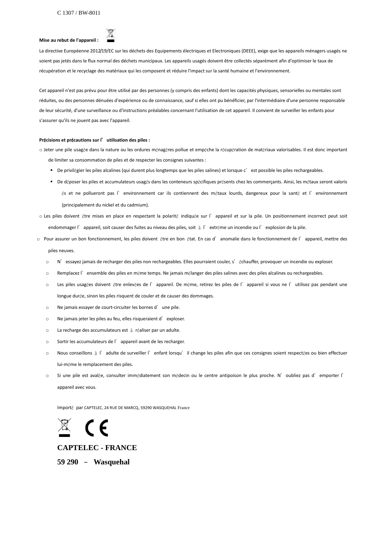# **Mise au rebut de l'appareil :**



La directive Européenne 2012/19/EC sur les déchets des Equipements électriques et Electroniques (DEEE), exige que les appareils ménagers usagés ne soient pas jetés dans le flux normal des déchets municipaux. Les appareils usagés doivent être collectés séparément afin d'optimiser le taux de récupération et le recyclage des matériaux qui les composent et réduire l'impact sur la santé humaine et l'environnement.

Cet appareil n'est pas prévu pour être utilisé par des personnes (y compris des enfants) dont les capacités physiques, sensorielles ou mentales sont réduites, ou des personnes dénuées d'expérience ou de connaissance, sauf si elles ont pu bénéficier, par l'intermédiaire d'une personne responsable de leur sécurité, d'une surveillance ou d'instructions préalables concernant l'utilisation de cet appareil. Il convient de surveiller les enfants pour s'assurer qu'ils ne jouent pas avec l'appareil.

#### **Pr**é**cisions et pr**é**cautions sur l**'**utilisation des piles :**

o Jeter une pile usagée dans la nature ou les ordures ménagères pollue et empêche la récupération de matériaux valorisables. Il est donc important de limiter sa consommation de piles et de respecter les consignes suivantes :

- De privilégier les piles alcalines (qui durent plus longtemps que les piles salines) et lorsque c'est possible les piles rechargeables.
- De déposer les piles et accumulateurs usagés dans les conteneurs spécifiques présents chez les commerçants. Ainsi, les métaux seront valoris és et ne pollueront pas l'environnement car ils contiennent des métaux lourds, dangereux pour la santé et l'environnement (principalement du nickel et du cadmium).
- o Les piles doivent être mises en place en respectant la polarité indiquée sur l'appareil et sur la pile. Un positionnement incorrect peut soit endommager l'appareil, soit causer des fuites au niveau des piles, soit à l'extrême un incendie ou l'explosion de la pile.
- o Pour assurer un bon fonctionnement, les piles doivent être en bon état. En cas d'anomalie dans le fonctionnement de l'appareil, mettre des piles neuves.
	- o N'essayez jamais de recharger des piles non rechargeables. Elles pourraient couler, s'échauffer, provoquer un incendie ou exploser.
	- o Remplacez l'ensemble des piles en même temps. Ne jamais mélanger des piles salines avec des piles alcalines ou rechargeables.
	- o Les piles usagées doivent être enlevées de l'appareil. De même, retirez les piles de l'appareil si vous ne l'utilisez pas pendant une longue durée, sinon les piles risquent de couler et de causer des dommages.
	- o Ne jamais essayer de court-circuiter les bornes d'une pile.
	- o Ne jamais jeter les piles au feu, elles risqueraient d'exploser.
	- o La recharge des accumulateurs est à réaliser par un adulte.
	- o Sortir les accumulateurs de l'appareil avant de les recharger.
	- o Nous conseillons à l'adulte de surveiller l'enfant lorsqu'il change les piles afin que ces consignes soient respectées ou bien effectuer lui-même le remplacement des piles.
	- o Si une pile est avalée, consulter immédiatement son médecin ou le centre antipoison le plus proche. N'oubliez pas d'emporter l' appareil avec vous.

Importé par CAPTELEC, 24 RUE DE MARCQ, 59290 WASQUEHAL France



#### **CAPTELEC - FRANCE**

**59 290** – **Wasquehal**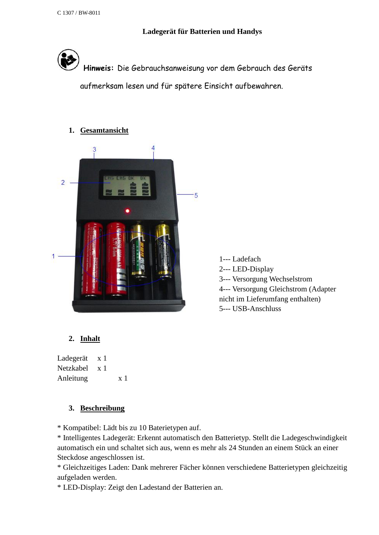**Ladegerät für Batterien und Handys** 



**Hinweis:** Die Gebrauchsanweisung vor dem Gebrauch des Geräts

aufmerksam lesen und für spätere Einsicht aufbewahren.

## **1. Gesamtansicht**



1--- Ladefach 2--- LED-Display 3--- Versorgung Wechselstrom 4--- Versorgung Gleichstrom (Adapter nicht im Lieferumfang enthalten) 5--- USB-Anschluss

# **2. Inhalt**

Ladegerät x 1 Netzkabel x 1 Anleitung x 1

#### **3. Beschreibung**

\* Kompatibel: Lädt bis zu 10 Baterietypen auf.

\* Intelligentes Ladegerät: Erkennt automatisch den Batterietyp. Stellt die Ladegeschwindigkeit automatisch ein und schaltet sich aus, wenn es mehr als 24 Stunden an einem Stück an einer Steckdose angeschlossen ist.

\* Gleichzeitiges Laden: Dank mehrerer Fächer können verschiedene Batterietypen gleichzeitig aufgeladen werden.

\* LED-Display: Zeigt den Ladestand der Batterien an.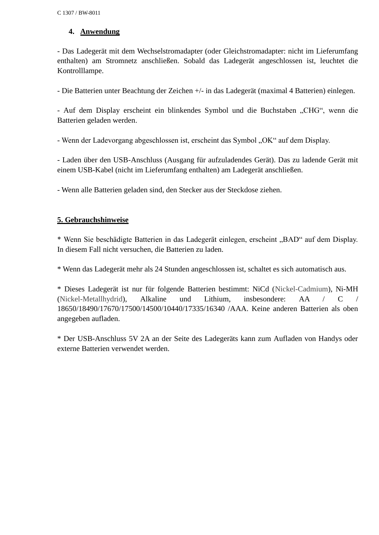## **4. Anwendung**

- Das Ladegerät mit dem Wechselstromadapter (oder Gleichstromadapter: nicht im Lieferumfang enthalten) am Stromnetz anschließen. Sobald das Ladegerät angeschlossen ist, leuchtet die Kontrolllampe.

- Die Batterien unter Beachtung der Zeichen +/- in das Ladegerät (maximal 4 Batterien) einlegen.

- Auf dem Display erscheint ein blinkendes Symbol und die Buchstaben "CHG", wenn die Batterien geladen werden.

- Wenn der Ladevorgang abgeschlossen ist, erscheint das Symbol "OK" auf dem Display.

- Laden über den USB-Anschluss (Ausgang für aufzuladendes Gerät). Das zu ladende Gerät mit einem USB-Kabel (nicht im Lieferumfang enthalten) am Ladegerät anschließen.

- Wenn alle Batterien geladen sind, den Stecker aus der Steckdose ziehen.

## **5. Gebrauchshinweise**

\* Wenn Sie beschädigte Batterien in das Ladegerät einlegen, erscheint "BAD" auf dem Display. In diesem Fall nicht versuchen, die Batterien zu laden.

\* Wenn das Ladegerät mehr als 24 Stunden angeschlossen ist, schaltet es sich automatisch aus.

\* Dieses Ladegerät ist nur für folgende Batterien bestimmt: NiCd (Nickel-Cadmium), Ni-MH (Nickel-Metallhydrid), Alkaline und Lithium, insbesondere: AA / C / 18650/18490/17670/17500/14500/10440/17335/16340 /AAA. Keine anderen Batterien als oben angegeben aufladen.

\* Der USB-Anschluss 5V 2A an der Seite des Ladegeräts kann zum Aufladen von Handys oder externe Batterien verwendet werden.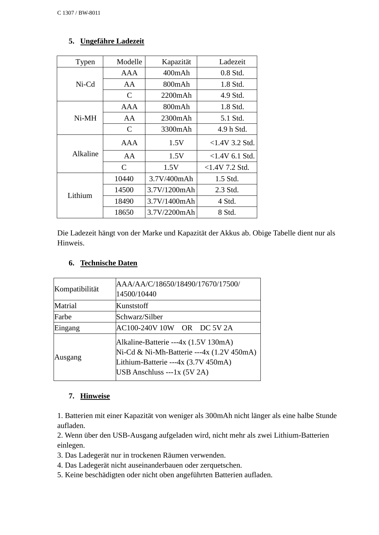# **5. Ungefähre Ladezeit**

| Typen    | Modelle | Kapazität    | Ladezeit         |
|----------|---------|--------------|------------------|
|          | AAA     | 400mAh       | $0.8$ Std.       |
| $Ni-Cd$  | AA      | 800mAh       | 1.8 Std.         |
|          | C       | 2200mAh      | 4.9 Std.         |
|          | AAA     | 800mAh       | 1.8 Std.         |
| $Ni-MH$  | AA      | 2300mAh      | 5.1 Std.         |
|          | C       | 3300mAh      | 4.9 h Std.       |
|          | AAA     | 1.5V         | $<1.4V$ 3.2 Std. |
| Alkaline | AA      | 1.5V         | $<1.4V$ 6.1 Std. |
|          | C       | 1.5V         | $<1.4V$ 7.2 Std. |
|          | 10440   | 3.7V/400mAh  | 1.5 Std.         |
| Lithium  | 14500   | 3.7V/1200mAh | 2.3 Std.         |
|          | 18490   | 3.7V/1400mAh | 4 Std.           |
|          | 18650   | 3.7V/2200mAh | 8 Std.           |

Die Ladezeit hängt von der Marke und Kapazität der Akkus ab. Obige Tabelle dient nur als Hinweis.

# **6. Technische Daten**

| Kompatibilität | AAA/AA/C/18650/18490/17670/17500/<br>14500/10440                                                                                                        |  |
|----------------|---------------------------------------------------------------------------------------------------------------------------------------------------------|--|
| Matrial        | Kunststoff                                                                                                                                              |  |
| Farbe          | Schwarz/Silber                                                                                                                                          |  |
| Eingang        | AC100-240V 10W OR DC 5V 2A                                                                                                                              |  |
| Ausgang        | Alkaline-Batterie ---4x (1.5V 130mA)<br>Ni-Cd & Ni-Mh-Batterie ---4x (1.2V 450mA)<br>Lithium-Batterie ---4x (3.7V 450mA)<br>USB Anschluss ---1x (5V 2A) |  |

# **7. Hinweise**

1. Batterien mit einer Kapazität von weniger als 300mAh nicht länger als eine halbe Stunde aufladen.

2. Wenn über den USB-Ausgang aufgeladen wird, nicht mehr als zwei Lithium-Batterien einlegen.

- 3. Das Ladegerät nur in trockenen Räumen verwenden.
- 4. Das Ladegerät nicht auseinanderbauen oder zerquetschen.
- 5. Keine beschädigten oder nicht oben angeführten Batterien aufladen.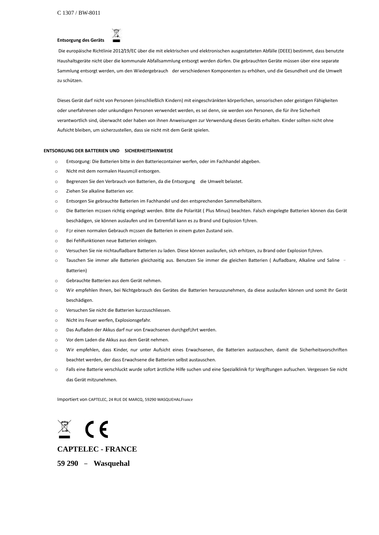#### **Entsorgung des Geräts**



Die europäische Richtlinie 2012/19/EC über die mit elektrischen und elektronischen ausgestatteten Abfälle (DEEE) bestimmt, dass benutzte Haushaltsgeräte nicht über die kommunale Abfallsammlung entsorgt werden dürfen. Die gebrauchten Geräte müssen über eine separate Sammlung entsorgt werden, um den Wiedergebrauch der verschiedenen Komponenten zu erhöhen, und die Gesundheit und die Umwelt zu schützen.

Dieses Gerät darf nicht von Personen (einschließlich Kindern) mit eingeschränkten körperlichen, sensorischen oder geistigen Fähigkeiten oder unerfahrenen oder unkundigen Personen verwendet werden, es sei denn, sie werden von Personen, die für ihre Sicherheit verantwortlich sind, überwacht oder haben von ihnen Anweisungen zur Verwendung dieses Geräts erhalten. Kinder sollten nicht ohne Aufsicht bleiben, um sicherzustellen, dass sie nicht mit dem Gerät spielen.

#### **ENTSORGUNG DER BATTERIEN UND SICHERHEITSHINWEISE**

- o Entsorgung: Die Batterien bitte in den Batteriecontainer werfen, oder im Fachhandel abgeben.
- o Nicht mit dem normalen Hausmüll entsorgen.
- o Begrenzen Sie den Verbrauch von Batterien, da die Entsorgung die Umwelt belastet.
- o Ziehen Sie alkaline Batterien vor.
- o Entsorgen Sie gebrauchte Batterien im Fachhandel und den entsprechenden Sammelbehältern.
- o Die Batterien müssen richtig eingelegt werden. Bitte die Polarität ( Plus Minus) beachten. Falsch eingelegte Batterien können das Gerät beschädigen, sie können auslaufen und im Extremfall kann es zu Brand und Explosion führen.
- o Für einen normalen Gebrauch müssen die Batterien in einem guten Zustand sein.
- o Bei Fehlfunktionen neue Batterien einlegen.
- o Versuchen Sie nie nichtaufladbare Batterien zu laden. Diese können auslaufen, sich erhitzen, zu Brand oder Explosion führen.
- o Tauschen Sie immer alle Batterien gleichzeitig aus. Benutzen Sie immer die gleichen Batterien ( Aufladbare, Alkaline und Saline Batterien)
- o Gebrauchte Batterien aus dem Gerät nehmen.
- o Wir empfehlen Ihnen, bei Nichtgebrauch des Gerätes die Batterien herauszunehmen, da diese auslaufen können und somit Ihr Gerät beschädigen.
- o Versuchen Sie nicht die Batterien kurzzuschliessen.
- o Nicht ins Feuer werfen, Explosionsgefahr.
- o Das Aufladen der Akkus darf nur von Erwachsenen durchgeführt werden.
- o Vor dem Laden die Akkus aus dem Gerät nehmen.
- o Wir empfehlen, dass Kinder, nur unter Aufsicht eines Erwachsenen, die Batterien austauschen, damit die Sicherheitsvorschriften beachtet werden, der dass Erwachsene die Batterien selbst austauschen.
- o Falls eine Batterie verschluckt wurde sofort ärztliche Hilfe suchen und eine Spezialklinik für Vergiftungen aufsuchen. Vergessen Sie nicht das Gerät mitzunehmen.

Importiert von CAPTELEC, 24 RUE DE MARCQ, 59290 WASQUEHALFrance



**CAPTELEC - FRANCE**

**59 290** – **Wasquehal**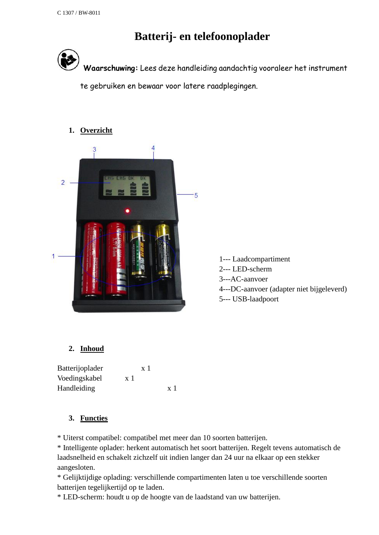# **Batterij- en telefoonoplader**



**Waarschuwing:** Lees deze handleiding aandachtig vooraleer het instrument

te gebruiken en bewaar voor latere raadplegingen.

# **1. Overzicht**



1--- Laadcompartiment 2--- LED-scherm 3---AC-aanvoer 4---DC-aanvoer (adapter niet bijgeleverd) 5--- USB-laadpoort

# **2. Inhoud**

| Batterijoplader | $\mathbf{x}$ ] |                |
|-----------------|----------------|----------------|
| Voedingskabel   | $\mathbf{x}$ 1 |                |
| Handleiding     |                | $\mathbf{x}$ 1 |

# **3. Functies**

\* Uiterst compatibel: compatibel met meer dan 10 soorten batterijen.

\* Intelligente oplader: herkent automatisch het soort batterijen. Regelt tevens automatisch de laadsnelheid en schakelt zichzelf uit indien langer dan 24 uur na elkaar op een stekker aangesloten.

\* Gelijktijdige oplading: verschillende compartimenten laten u toe verschillende soorten batterijen tegelijkertijd op te laden.

\* LED-scherm: houdt u op de hoogte van de laadstand van uw batterijen.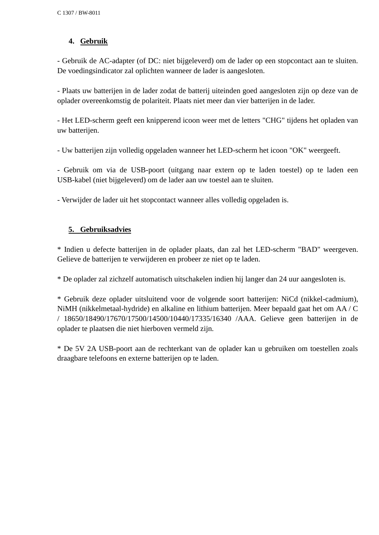# **4. Gebruik**

- Gebruik de AC-adapter (of DC: niet bijgeleverd) om de lader op een stopcontact aan te sluiten. De voedingsindicator zal oplichten wanneer de lader is aangesloten.

- Plaats uw batterijen in de lader zodat de batterij uiteinden goed aangesloten zijn op deze van de oplader overeenkomstig de polariteit. Plaats niet meer dan vier batterijen in de lader.

- Het LED-scherm geeft een knipperend icoon weer met de letters "CHG" tijdens het opladen van uw batterijen.

- Uw batterijen zijn volledig opgeladen wanneer het LED-scherm het icoon "OK" weergeeft.

- Gebruik om via de USB-poort (uitgang naar extern op te laden toestel) op te laden een USB-kabel (niet bijgeleverd) om de lader aan uw toestel aan te sluiten.

- Verwijder de lader uit het stopcontact wanneer alles volledig opgeladen is.

#### **5. Gebruiksadvies**

\* Indien u defecte batterijen in de oplader plaats, dan zal het LED-scherm "BAD" weergeven. Gelieve de batterijen te verwijderen en probeer ze niet op te laden.

\* De oplader zal zichzelf automatisch uitschakelen indien hij langer dan 24 uur aangesloten is.

\* Gebruik deze oplader uitsluitend voor de volgende soort batterijen: NiCd (nikkel-cadmium), NiMH (nikkelmetaal-hydride) en alkaline en lithium batterijen. Meer bepaald gaat het om AA / C / 18650/18490/17670/17500/14500/10440/17335/16340 /AAA. Gelieve geen batterijen in de oplader te plaatsen die niet hierboven vermeld zijn.

\* De 5V 2A USB-poort aan de rechterkant van de oplader kan u gebruiken om toestellen zoals draagbare telefoons en externe batterijen op te laden.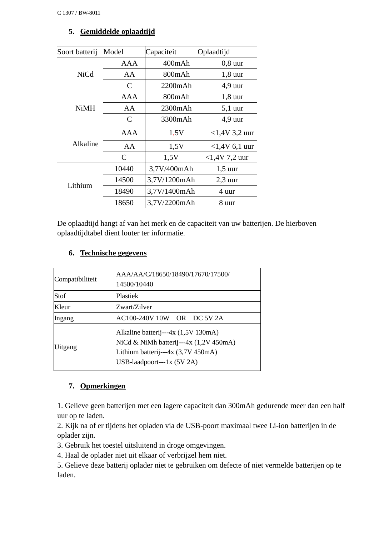# **5. Gemiddelde oplaadtijd**

| Soort batterij | Model         | Capaciteit   | Oplaadtijd      |
|----------------|---------------|--------------|-----------------|
|                | AAA           | $400$ m $Ah$ | $0,8$ uur       |
| <b>NiCd</b>    | AA            | 800mAh       | $1,8$ uur       |
|                | C             | 2200mAh      | $4,9$ uur       |
|                | AAA           | 800mAh       | $1,8$ uur       |
| <b>NiMH</b>    | AA            | 2300mAh      | $5,1$ uur       |
|                | C             | 3300mAh      | $4,9$ uur       |
|                | AAA           | 1,5V         | $<1,4V$ 3,2 uur |
| Alkaline       | AA            | 1,5V         | $<1,4V$ 6,1 uur |
|                | $\mathcal{C}$ | 1,5V         | $<1,4V$ 7,2 uur |
|                | 10440         | 3,7V/400mAh  | $1,5$ uur       |
| Lithium        | 14500         | 3,7V/1200mAh | $2,3$ uur       |
|                | 18490         | 3,7V/1400mAh | 4 uur           |
|                | 18650         | 3,7V/2200mAh | 8 uur           |

De oplaadtijd hangt af van het merk en de capaciteit van uw batterijen. De hierboven oplaadtijdtabel dient louter ter informatie.

# **6. Technische gegevens**

| Compatibiliteit | AAA/AA/C/18650/18490/17670/17500/<br>14500/10440                                                                                                  |
|-----------------|---------------------------------------------------------------------------------------------------------------------------------------------------|
| Stof            | Plastiek                                                                                                                                          |
| Kleur           | Zwart/Zilver                                                                                                                                      |
| Ingang          | AC100-240V 10W OR DC 5V 2A                                                                                                                        |
| Uitgang         | Alkaline batterij---4x (1,5V 130mA)<br>NiCd & NiMh batterij---4x (1,2V 450mA)<br>Lithium batterij---4x (3,7V 450mA)<br>USB-laadpoort---1x (5V 2A) |

# **7. Opmerkingen**

1. Gelieve geen batterijen met een lagere capaciteit dan 300mAh gedurende meer dan een half uur op te laden.

2. Kijk na of er tijdens het opladen via de USB-poort maximaal twee Li-ion batterijen in de oplader zijn.

3. Gebruik het toestel uitsluitend in droge omgevingen.

4. Haal de oplader niet uit elkaar of verbrijzel hem niet.

5. Gelieve deze batterij oplader niet te gebruiken om defecte of niet vermelde batterijen op te laden.